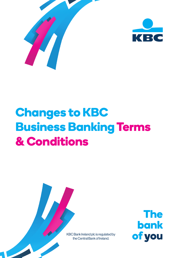

# **Changes to Changes to KBC Business Banking Terms Terms & Conditions & Conditions**



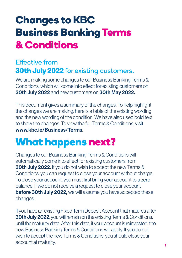## **Changes to KBC Business Banking Terms & Conditions**

### Effective from **30th July 2022** for existing customers.

We are making some changes to our Business Banking Terms & Conditions, which will come into effect for existing customers on 30th July 2022 and new customers on 30th May 2022.

This document gives a summary of the changes. To help highlight the changes we are making, here is a table of the existing wording and the new wording of the condition. We have also used bold text to show the changes. To view the full Terms & Conditions, visit www.kbc.ie/Business/Terms.

## **What happens next?**

Changes to our Business Banking Terms & Conditions will automatically come into effect for existing customers from **30th July 2022.** If you do not wish to accept the new Terms & Conditions, you can request to close your account without charge. To close your account, you must first bring your account to a zero balance. If we do not receive a request to close your account **before 30th July 2022, we will assume you have accepted these** changes.

If you have an existing Fixed Term Deposit Account that matures after **30th July 2022**, you will remain on the existing Terms & Conditions, until the maturity date. After this date, if your account is reinvested, the new Business Banking Terms & Conditions will apply. If you do not wish to accept the new Terms & Conditions, you should close your account at maturity.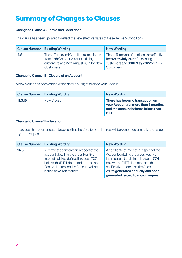### **Summary of Changes to Clauses**

#### Change to Clause 4 - Terms and Conditions

This clause has been updated to reflect the new effective dates of these Terms & Conditions.

|     | <b>Clause Number Existing Wording</b>                                                                                                   | <b>New Wording</b>                                                                                                                |
|-----|-----------------------------------------------------------------------------------------------------------------------------------------|-----------------------------------------------------------------------------------------------------------------------------------|
| 4.8 | These Terms and Conditions are effective<br>from 27th October 2021 for existing<br>customers and 27th August 2021 for New<br>Customers. | These Terms and Conditions are effective<br>from 30th July 2022 for existing<br>customers and 30th May 2022 for New<br>Customers. |

#### Change to Clause 11 - Closure of an Account

A new clause has been added which details our right to close your Account.

| <b>Clause Number</b> | Existing Wording | <b>New Wording</b>                                                                                                       |
|----------------------|------------------|--------------------------------------------------------------------------------------------------------------------------|
| 11.3.16              | New Clause       | There has been no transaction on<br>your Account for more than 6 months,<br>and the account balance is less than<br>€10. |

#### Change to Clause 14 - Taxation

This clause has been updated to advise that the Certificate of Interest will be generated annually and issued to you on request.

| <b>Clause Number</b> | <b>Existing Wording</b>                                                                                                                                                                                                                              | <b>New Wording</b>                                                                                                                                                                                                                                                                          |
|----------------------|------------------------------------------------------------------------------------------------------------------------------------------------------------------------------------------------------------------------------------------------------|---------------------------------------------------------------------------------------------------------------------------------------------------------------------------------------------------------------------------------------------------------------------------------------------|
| 14.3                 | A certificate of interest in respect of the<br>account, detailing the gross Positive<br>Interest paid (as defined in clause 77.7)<br>below), the DIRT deducted, and the net<br>Positive Interest on the Account will be<br>issued to you on request. | A certificate of interest in respect of the<br>Account, detailing the gross Positive<br>Interest paid (as defined in clause 77.6<br>below), the DIRT deducted and the<br>net Positive Interest on the Account<br>will be generated annually and once<br>generated issued to you on request. |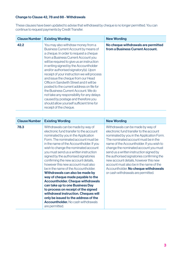#### Change to Clause 42, 78 and 88 - Withdrawals

These clauses have been updated to advise that withdrawal by cheque is no longer permitted. You can continue to request payments by Credit Transfer.

| <b>Clause Number</b> | <b>Existing Wording</b>                                                                                                                                                                                                                                                                                                                                                                                                                                                                                                                                                                                                                                                      | <b>New Wording</b>                                                      |
|----------------------|------------------------------------------------------------------------------------------------------------------------------------------------------------------------------------------------------------------------------------------------------------------------------------------------------------------------------------------------------------------------------------------------------------------------------------------------------------------------------------------------------------------------------------------------------------------------------------------------------------------------------------------------------------------------------|-------------------------------------------------------------------------|
| 42.2                 | You may also withdraw money from a<br>Business Current Account by means of<br>a cheque. In order to request a cheque<br>from a Business Current Account you<br>will be required to give us an instruction<br>in writing signed by the Accountholder<br>and/or authorised signatory(s). Upon<br>receipt of your instruction we will process<br>and issue the cheque from our Head<br>Office in Sandwith Street and it will be<br>posted to the current address on file for<br>the Business Current Account. We do<br>not take any responsibility for any delays<br>caused by postage and therefore you<br>should allow yourself sufficient time for<br>receipt of the cheque. | No cheque withdrawals are permitted<br>from a Business Current Account. |

| <b>Clause Number</b> | <b>Existing Wording</b>                                                                                                                                                                                                                                                                                                                                                                                                                                                                                                                                                                                                                                                                                                                                                                            | <b>New Wording</b>                                                                                                                                                                                                                                                                                                                                                                                                                                                                                                |
|----------------------|----------------------------------------------------------------------------------------------------------------------------------------------------------------------------------------------------------------------------------------------------------------------------------------------------------------------------------------------------------------------------------------------------------------------------------------------------------------------------------------------------------------------------------------------------------------------------------------------------------------------------------------------------------------------------------------------------------------------------------------------------------------------------------------------------|-------------------------------------------------------------------------------------------------------------------------------------------------------------------------------------------------------------------------------------------------------------------------------------------------------------------------------------------------------------------------------------------------------------------------------------------------------------------------------------------------------------------|
| 78.3                 | Withdrawals can be made by way of<br>electronic fund transfer to the account<br>nominated by you in the Application<br>Form. The nominated account must be<br>in the name of the Accountholder. If you<br>wish to change the nominated account<br>you must send us a written instruction<br>signed by the authorised signatories<br>confirming the new account details,<br>however this new account must also<br>be in the name of the Accountholder.<br>Withdrawals can also be made by<br>way of cheque made payable to the<br><b>Accountholder. Cheque withdrawals</b><br>can take up to one Business Day<br>to process on receipt of the signed<br>withdrawal instruction. Cheques will<br>only be issued to the address of the<br><b>Accountholder.</b> No cash withdrawals<br>are permitted. | Withdrawals can be made by way of<br>electronic fund transfer to the account<br>nominated by you in the Application Form.<br>The nominated account must be in the<br>name of the Accountholder. If you wish to<br>change the nominated account you must<br>send us a written instruction signed by<br>the authorised signatories confirming the<br>new account details, however this new<br>account must also be in the name of the<br>Accountholder. No cheque withdrawals<br>or cash withdrawals are permitted. |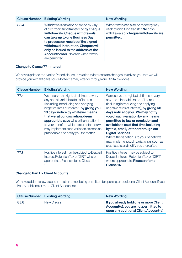| <b>Clause Number</b> | <b>Existing Wording</b>                                                                                                                                                                                                                                                                                                                     | <b>New Wording</b>                                                                                                                 |
|----------------------|---------------------------------------------------------------------------------------------------------------------------------------------------------------------------------------------------------------------------------------------------------------------------------------------------------------------------------------------|------------------------------------------------------------------------------------------------------------------------------------|
| 88.4                 | Withdrawals can also be made by way<br>of electronic fund transfer or by cheque<br>withdrawals. Cheque withdrawals<br>can take up to one Business Day<br>to process on receipt of the signed<br>withdrawal instruction. Cheques will<br>only be issued to the address of the<br><b>Accountholder.</b> No cash withdrawals<br>are permitted. | Withdrawals can also be made by way<br>of electronic fund transfer. No cash<br>withdrawals or cheque withdrawals are<br>permitted. |

#### Change to Clause 77 - Interest

We have updated the Notice Period clause, in relation to interest rate changes, to advise you that we will provide you with 60 days notice by text, email, letter or through our Digital Services.

| <b>Clause Number</b> | <b>Existing Wording</b>                                                                                                                                                                                                                                                                                                                                                                                                         | <b>New Wording</b>                                                                                                                                                                                                                                                                                                                                                                                                                                                                                                                         |
|----------------------|---------------------------------------------------------------------------------------------------------------------------------------------------------------------------------------------------------------------------------------------------------------------------------------------------------------------------------------------------------------------------------------------------------------------------------|--------------------------------------------------------------------------------------------------------------------------------------------------------------------------------------------------------------------------------------------------------------------------------------------------------------------------------------------------------------------------------------------------------------------------------------------------------------------------------------------------------------------------------------------|
| 77.4                 | We reserve the right, at all times to vary<br>any and all variable rates of interest<br>(including introducing and applying<br>negative rates of interest), by giving you<br>10 days' notice by whatever means<br>that we, at our discretion, deem<br>appropriate save where the variation is<br>to your benefit in which circumstances we<br>may implement such variation as soon as<br>practicable and notify you thereafter. | We reserve the right, at all times to vary<br>any and all variable rates of interest<br>(including introducing and applying<br>negative rates of interest), by giving 60<br>days notice to you. We may notify<br>you of such variation by any means<br>permitted by law or regulation and<br>available to us at that time including<br>by text, email, letter or through our<br><b>Digital Services.</b><br>Where the variation is to your benefit we<br>may implement such variation as soon as<br>practicable and notify you thereafter. |
| 77.7                 | Positive Interest may be subject to Deposit<br>Interest Retention Tax or 'DIRT' where<br>appropriate. Please refer to Clause<br>13.                                                                                                                                                                                                                                                                                             | Positive Interest may be subject to<br>Deposit Interest Retention Tax or 'DIRT'<br>where appropriate. Please refer to<br>Clause 14                                                                                                                                                                                                                                                                                                                                                                                                         |

#### Change to Part H - Client Accounts

We have added a new clause in relation to not being permitted to opening an additional Client Account if you already hold one or more Client Account (s).

|      | Clause Number   Existing Wording | New Wording                                                                                                              |
|------|----------------------------------|--------------------------------------------------------------------------------------------------------------------------|
| 83.8 | New Clause                       | If you already hold one or more Client<br>Account(s), you are not permitted to<br>open any additional Client Account(s). |